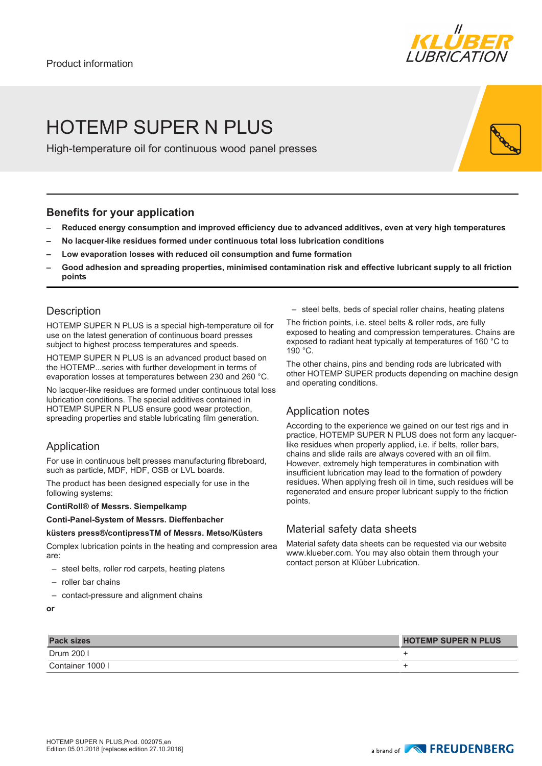

# HOTEMP SUPER N PLUS

High-temperature oil for continuous wood panel presses

## **Benefits for your application**

- **– Reduced energy consumption and improved efficiency due to advanced additives, even at very high temperatures**
- **– No lacquer-like residues formed under continuous total loss lubrication conditions**
- **– Low evaporation losses with reduced oil consumption and fume formation**
- **– Good adhesion and spreading properties, minimised contamination risk and effective lubricant supply to all friction points**

## **Description**

HOTEMP SUPER N PLUS is a special high-temperature oil for use on the latest generation of continuous board presses subject to highest process temperatures and speeds.

HOTEMP SUPER N PLUS is an advanced product based on the HOTEMP...series with further development in terms of evaporation losses at temperatures between 230 and 260 °C.

No lacquer-like residues are formed under continuous total loss lubrication conditions. The special additives contained in HOTEMP SUPER N PLUS ensure good wear protection, spreading properties and stable lubricating film generation.

## Application

For use in continuous belt presses manufacturing fibreboard, such as particle, MDF, HDF, OSB or LVL boards.

The product has been designed especially for use in the following systems:

#### **ContiRoll® of Messrs. Siempelkamp**

### **Conti-Panel-System of Messrs. Dieffenbacher**

#### **küsters press®/contipressTM of Messrs. Metso/Küsters**

Complex lubrication points in the heating and compression area are:

- steel belts, roller rod carpets, heating platens
- roller bar chains
- contact-pressure and alignment chains
- **or**

– steel belts, beds of special roller chains, heating platens

The friction points, i.e. steel belts & roller rods, are fully exposed to heating and compression temperatures. Chains are exposed to radiant heat typically at temperatures of 160 °C to 190 °C.

The other chains, pins and bending rods are lubricated with other HOTEMP SUPER products depending on machine design and operating conditions.

## Application notes

According to the experience we gained on our test rigs and in practice, HOTEMP SUPER N PLUS does not form any lacquerlike residues when properly applied, i.e. if belts, roller bars, chains and slide rails are always covered with an oil film. However, extremely high temperatures in combination with insufficient lubrication may lead to the formation of powdery residues. When applying fresh oil in time, such residues will be regenerated and ensure proper lubricant supply to the friction points.

## Material safety data sheets

Material safety data sheets can be requested via our website www.klueber.com. You may also obtain them through your contact person at Klüber Lubrication.

| <b>Pack sizes</b> | <b>HOTEMP SUPER N PLUS</b> |
|-------------------|----------------------------|
| Drum 200 l        |                            |
| Container 1000 l  |                            |